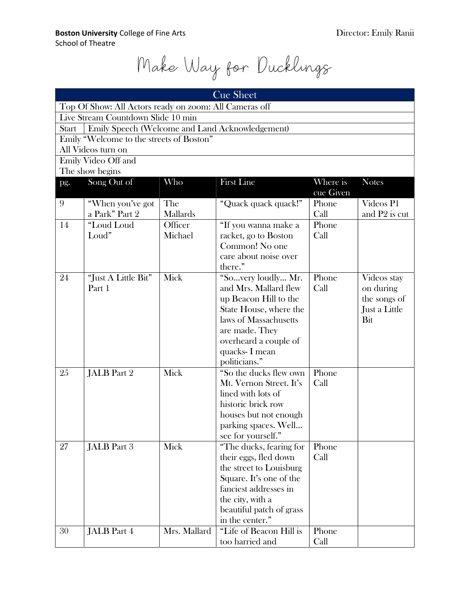Make Way for Ducklings

| <b>Cue Sheet</b>                                                |                     |              |                          |           |                           |  |  |  |  |
|-----------------------------------------------------------------|---------------------|--------------|--------------------------|-----------|---------------------------|--|--|--|--|
| Top Of Show: All Actors ready on zoom: All Cameras off          |                     |              |                          |           |                           |  |  |  |  |
| Live Stream Countdown Slide 10 min                              |                     |              |                          |           |                           |  |  |  |  |
| Emily Speech (Welcome and Land Acknowledgement)<br><b>Start</b> |                     |              |                          |           |                           |  |  |  |  |
| Emily "Welcome to the streets of Boston"                        |                     |              |                          |           |                           |  |  |  |  |
| All Videos turn on                                              |                     |              |                          |           |                           |  |  |  |  |
|                                                                 | Emily Video Off and |              |                          |           |                           |  |  |  |  |
| The show begins                                                 |                     |              |                          |           |                           |  |  |  |  |
| pg.                                                             | Song Out of         | Who          | <b>First Line</b>        | Where is  | <b>Notes</b>              |  |  |  |  |
|                                                                 |                     |              |                          | cue Given |                           |  |  |  |  |
| 9                                                               | "When you've got    | The          | "Quack quack quack!"     | Phone     | Videos P1                 |  |  |  |  |
|                                                                 | a Park" Part 2      | Mallards     |                          | Call      | and P <sub>2</sub> is cut |  |  |  |  |
| 14                                                              | "Loud Loud          | Officer      | "If you wanna make a     | Phone     |                           |  |  |  |  |
|                                                                 | Loud"               | Michael      | racket, go to Boston     | Call      |                           |  |  |  |  |
|                                                                 |                     |              | Common! No one           |           |                           |  |  |  |  |
|                                                                 |                     |              | care about noise over    |           |                           |  |  |  |  |
|                                                                 |                     |              | there."                  |           |                           |  |  |  |  |
| 24                                                              | "Just A Little Bit" | Mick         | "Sovery loudly Mr.       | Phone     | Videos stay               |  |  |  |  |
|                                                                 | Part 1              |              | and Mrs. Mallard flew    | Call      | on during                 |  |  |  |  |
|                                                                 |                     |              | up Beacon Hill to the    |           | the songs of              |  |  |  |  |
|                                                                 |                     |              | State House, where the   |           | Just a Little             |  |  |  |  |
|                                                                 |                     |              | laws of Massachusetts    |           | Bit                       |  |  |  |  |
|                                                                 |                     |              | are made. They           |           |                           |  |  |  |  |
|                                                                 |                     |              | overheard a couple of    |           |                           |  |  |  |  |
|                                                                 |                     |              | quacks- I mean           |           |                           |  |  |  |  |
|                                                                 |                     |              | politicians."            |           |                           |  |  |  |  |
| 25                                                              | JALB Part 2         | Mick         | "So the ducks flew own   | Phone     |                           |  |  |  |  |
|                                                                 |                     |              | Mt. Vernon Street. It's  | Call      |                           |  |  |  |  |
|                                                                 |                     |              | lined with lots of       |           |                           |  |  |  |  |
|                                                                 |                     |              | historic brick row       |           |                           |  |  |  |  |
|                                                                 |                     |              | houses but not enough    |           |                           |  |  |  |  |
|                                                                 |                     |              | parking spaces. Well     |           |                           |  |  |  |  |
|                                                                 |                     |              | see for yourself."       |           |                           |  |  |  |  |
| 27                                                              | JALB Part 3         | Mick         | "The ducks, fearing for  | Phone     |                           |  |  |  |  |
|                                                                 |                     |              | their eggs, fled down    | Call      |                           |  |  |  |  |
|                                                                 |                     |              | the street to Louisburg  |           |                           |  |  |  |  |
|                                                                 |                     |              | Square. It's one of the  |           |                           |  |  |  |  |
|                                                                 |                     |              | fanciest addresses in    |           |                           |  |  |  |  |
|                                                                 |                     |              | the city, with a         |           |                           |  |  |  |  |
|                                                                 |                     |              | beautiful patch of grass |           |                           |  |  |  |  |
|                                                                 |                     |              | in the center."          |           |                           |  |  |  |  |
| 30                                                              | <b>JALB</b> Part 4  | Mrs. Mallard | "Life of Beacon Hill is  | Phone     |                           |  |  |  |  |
|                                                                 |                     |              | too harried and          | Call      |                           |  |  |  |  |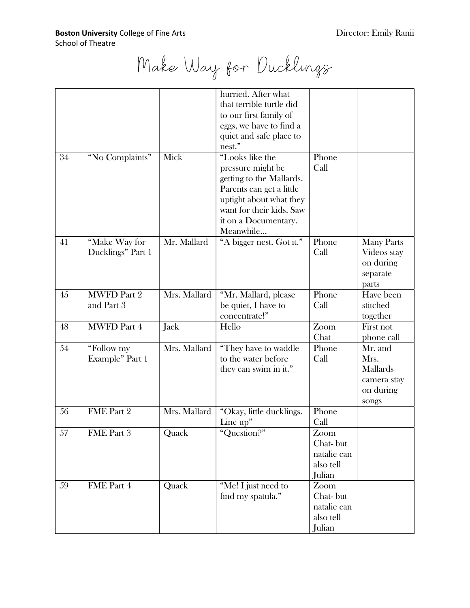Make Way for Ducklings

|        |                    |              | hurried. After what      |                    |                   |
|--------|--------------------|--------------|--------------------------|--------------------|-------------------|
|        |                    |              | that terrible turtle did |                    |                   |
|        |                    |              | to our first family of   |                    |                   |
|        |                    |              | eggs, we have to find a  |                    |                   |
|        |                    |              | quiet and safe place to  |                    |                   |
|        |                    |              | nest."                   |                    |                   |
| 34     | "No Complaints"    | Mick         | "Looks like the          | Phone              |                   |
|        |                    |              | pressure might be        | Call               |                   |
|        |                    |              | getting to the Mallards. |                    |                   |
|        |                    |              | Parents can get a little |                    |                   |
|        |                    |              | uptight about what they  |                    |                   |
|        |                    |              | want for their kids. Saw |                    |                   |
|        |                    |              | it on a Documentary.     |                    |                   |
|        |                    |              | Meanwhile                |                    |                   |
| 41     | "Make Way for      | Mr. Mallard  | "A bigger nest. Got it." | Phone              | <b>Many Parts</b> |
|        | Ducklings" Part 1  |              |                          | Call               | Videos stay       |
|        |                    |              |                          |                    |                   |
|        |                    |              |                          |                    | on during         |
|        |                    |              |                          |                    | separate          |
|        |                    |              |                          |                    | parts             |
| 45     | <b>MWFD Part 2</b> | Mrs. Mallard | "Mr. Mallard, please     | Phone              | Have been         |
|        | and Part 3         |              | be quiet, I have to      | Call               | stitched          |
|        |                    |              | concentrate!"            |                    | together          |
| 48     | <b>MWFD Part 4</b> | Jack         | Hello                    | Zoom               | First not         |
|        |                    |              |                          | Chat               | phone call        |
| 54     | "Follow my         | Mrs. Mallard | "They have to waddle     | Phone              | Mr. and           |
|        | Example" Part 1    |              | to the water before      | Call               | Mrs.              |
|        |                    |              | they can swim in it."    |                    | Mallards          |
|        |                    |              |                          |                    | camera stay       |
|        |                    |              |                          |                    | on during         |
|        |                    |              |                          |                    | songs             |
| 56     | FME Part 2         | Mrs. Mallard | "Okay, little ducklings. | Phone              |                   |
|        |                    |              | Line up"                 | Call               |                   |
| $57\,$ | FME Part 3         | Quack        | "Question?"              | $\overline{Z}$ oom |                   |
|        |                    |              |                          | Chat-but           |                   |
|        |                    |              |                          | natalie can        |                   |
|        |                    |              |                          | also tell          |                   |
|        |                    |              |                          | Julian             |                   |
| 59     | FME Part 4         | Quack        | "Me! I just need to      | Zoom               |                   |
|        |                    |              | find my spatula."        | Chat-but           |                   |
|        |                    |              |                          | natalie can        |                   |
|        |                    |              |                          | also tell          |                   |
|        |                    |              |                          | Julian             |                   |
|        |                    |              |                          |                    |                   |